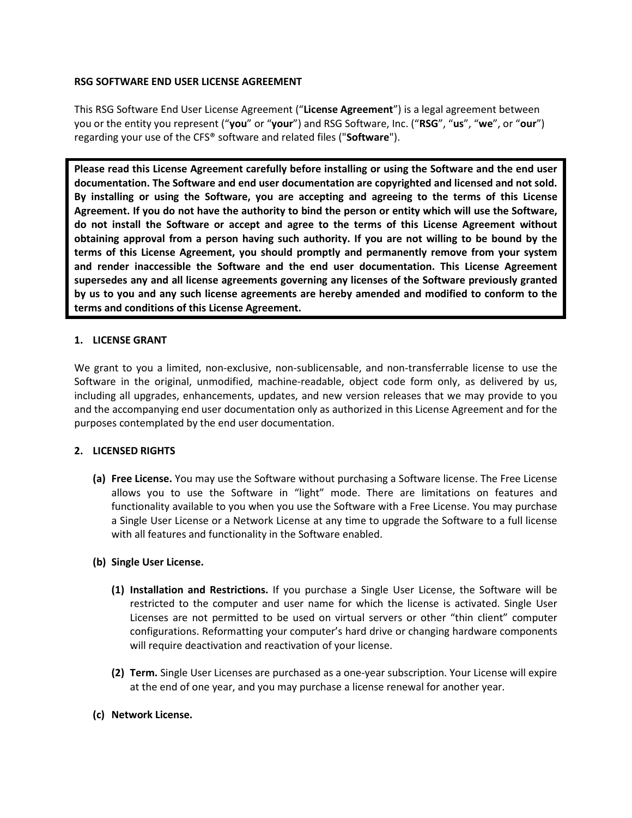#### **RSG SOFTWARE END USER LICENSE AGREEMENT**

This RSG Software End User License Agreement ("**License Agreement**") is a legal agreement between you or the entity you represent ("**you**" or "**your**") and RSG Software, Inc. ("**RSG**", "**us**", "**we**", or "**our**") regarding your use of the CFS® software and related files ("**Software**").

**Please read this License Agreement carefully before installing or using the Software and the end user documentation. The Software and end user documentation are copyrighted and licensed and not sold. By installing or using the Software, you are accepting and agreeing to the terms of this License Agreement. If you do not have the authority to bind the person or entity which will use the Software, do not install the Software or accept and agree to the terms of this License Agreement without obtaining approval from a person having such authority. If you are not willing to be bound by the terms of this License Agreement, you should promptly and permanently remove from your system and render inaccessible the Software and the end user documentation. This License Agreement supersedes any and all license agreements governing any licenses of the Software previously granted by us to you and any such license agreements are hereby amended and modified to conform to the terms and conditions of this License Agreement.**

#### **1. LICENSE GRANT**

We grant to you a limited, non-exclusive, non-sublicensable, and non-transferrable license to use the Software in the original, unmodified, machine-readable, object code form only, as delivered by us, including all upgrades, enhancements, updates, and new version releases that we may provide to you and the accompanying end user documentation only as authorized in this License Agreement and for the purposes contemplated by the end user documentation.

# **2. LICENSED RIGHTS**

**(a) Free License.** You may use the Software without purchasing a Software license. The Free License allows you to use the Software in "light" mode. There are limitations on features and functionality available to you when you use the Software with a Free License. You may purchase a Single User License or a Network License at any time to upgrade the Software to a full license with all features and functionality in the Software enabled.

# **(b) Single User License.**

- **(1) Installation and Restrictions.** If you purchase a Single User License, the Software will be restricted to the computer and user name for which the license is activated. Single User Licenses are not permitted to be used on virtual servers or other "thin client" computer configurations. Reformatting your computer's hard drive or changing hardware components will require deactivation and reactivation of your license.
- **(2) Term.** Single User Licenses are purchased as a one-year subscription. Your License will expire at the end of one year, and you may purchase a license renewal for another year.
- **(c) Network License.**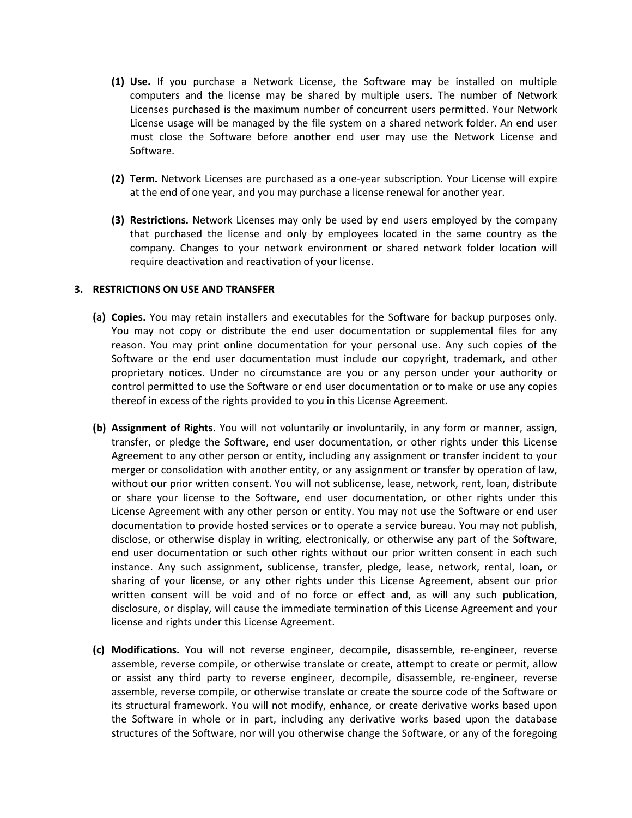- **(1) Use.** If you purchase a Network License, the Software may be installed on multiple computers and the license may be shared by multiple users. The number of Network Licenses purchased is the maximum number of concurrent users permitted. Your Network License usage will be managed by the file system on a shared network folder. An end user must close the Software before another end user may use the Network License and Software.
- **(2) Term.** Network Licenses are purchased as a one-year subscription. Your License will expire at the end of one year, and you may purchase a license renewal for another year.
- **(3) Restrictions.** Network Licenses may only be used by end users employed by the company that purchased the license and only by employees located in the same country as the company. Changes to your network environment or shared network folder location will require deactivation and reactivation of your license.

#### **3. RESTRICTIONS ON USE AND TRANSFER**

- **(a) Copies.** You may retain installers and executables for the Software for backup purposes only. You may not copy or distribute the end user documentation or supplemental files for any reason. You may print online documentation for your personal use. Any such copies of the Software or the end user documentation must include our copyright, trademark, and other proprietary notices. Under no circumstance are you or any person under your authority or control permitted to use the Software or end user documentation or to make or use any copies thereof in excess of the rights provided to you in this License Agreement.
- **(b) Assignment of Rights.** You will not voluntarily or involuntarily, in any form or manner, assign, transfer, or pledge the Software, end user documentation, or other rights under this License Agreement to any other person or entity, including any assignment or transfer incident to your merger or consolidation with another entity, or any assignment or transfer by operation of law, without our prior written consent. You will not sublicense, lease, network, rent, loan, distribute or share your license to the Software, end user documentation, or other rights under this License Agreement with any other person or entity. You may not use the Software or end user documentation to provide hosted services or to operate a service bureau. You may not publish, disclose, or otherwise display in writing, electronically, or otherwise any part of the Software, end user documentation or such other rights without our prior written consent in each such instance. Any such assignment, sublicense, transfer, pledge, lease, network, rental, loan, or sharing of your license, or any other rights under this License Agreement, absent our prior written consent will be void and of no force or effect and, as will any such publication, disclosure, or display, will cause the immediate termination of this License Agreement and your license and rights under this License Agreement.
- **(c) Modifications.** You will not reverse engineer, decompile, disassemble, re-engineer, reverse assemble, reverse compile, or otherwise translate or create, attempt to create or permit, allow or assist any third party to reverse engineer, decompile, disassemble, re-engineer, reverse assemble, reverse compile, or otherwise translate or create the source code of the Software or its structural framework. You will not modify, enhance, or create derivative works based upon the Software in whole or in part, including any derivative works based upon the database structures of the Software, nor will you otherwise change the Software, or any of the foregoing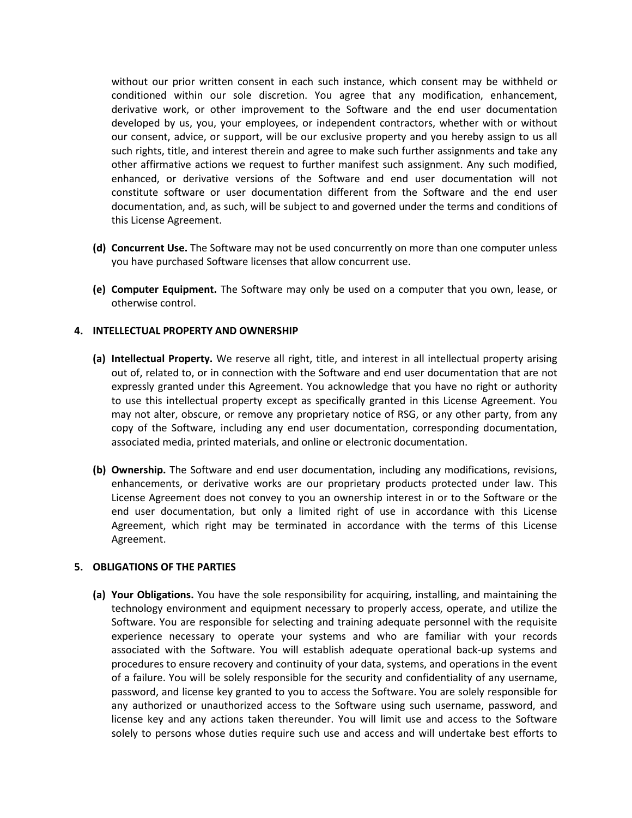without our prior written consent in each such instance, which consent may be withheld or conditioned within our sole discretion. You agree that any modification, enhancement, derivative work, or other improvement to the Software and the end user documentation developed by us, you, your employees, or independent contractors, whether with or without our consent, advice, or support, will be our exclusive property and you hereby assign to us all such rights, title, and interest therein and agree to make such further assignments and take any other affirmative actions we request to further manifest such assignment. Any such modified, enhanced, or derivative versions of the Software and end user documentation will not constitute software or user documentation different from the Software and the end user documentation, and, as such, will be subject to and governed under the terms and conditions of this License Agreement.

- **(d) Concurrent Use.** The Software may not be used concurrently on more than one computer unless you have purchased Software licenses that allow concurrent use.
- **(e) Computer Equipment.** The Software may only be used on a computer that you own, lease, or otherwise control.

#### **4. INTELLECTUAL PROPERTY AND OWNERSHIP**

- **(a) Intellectual Property.** We reserve all right, title, and interest in all intellectual property arising out of, related to, or in connection with the Software and end user documentation that are not expressly granted under this Agreement. You acknowledge that you have no right or authority to use this intellectual property except as specifically granted in this License Agreement. You may not alter, obscure, or remove any proprietary notice of RSG, or any other party, from any copy of the Software, including any end user documentation, corresponding documentation, associated media, printed materials, and online or electronic documentation.
- **(b) Ownership.** The Software and end user documentation, including any modifications, revisions, enhancements, or derivative works are our proprietary products protected under law. This License Agreement does not convey to you an ownership interest in or to the Software or the end user documentation, but only a limited right of use in accordance with this License Agreement, which right may be terminated in accordance with the terms of this License Agreement.

#### **5. OBLIGATIONS OF THE PARTIES**

**(a) Your Obligations.** You have the sole responsibility for acquiring, installing, and maintaining the technology environment and equipment necessary to properly access, operate, and utilize the Software. You are responsible for selecting and training adequate personnel with the requisite experience necessary to operate your systems and who are familiar with your records associated with the Software. You will establish adequate operational back-up systems and procedures to ensure recovery and continuity of your data, systems, and operations in the event of a failure. You will be solely responsible for the security and confidentiality of any username, password, and license key granted to you to access the Software. You are solely responsible for any authorized or unauthorized access to the Software using such username, password, and license key and any actions taken thereunder. You will limit use and access to the Software solely to persons whose duties require such use and access and will undertake best efforts to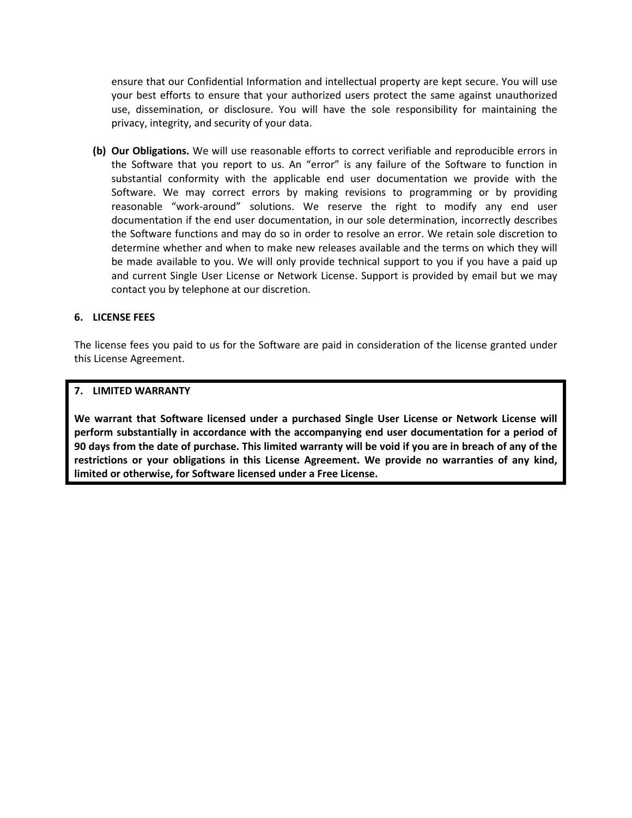ensure that our Confidential Information and intellectual property are kept secure. You will use your best efforts to ensure that your authorized users protect the same against unauthorized use, dissemination, or disclosure. You will have the sole responsibility for maintaining the privacy, integrity, and security of your data.

**(b) Our Obligations.** We will use reasonable efforts to correct verifiable and reproducible errors in the Software that you report to us. An "error" is any failure of the Software to function in substantial conformity with the applicable end user documentation we provide with the Software. We may correct errors by making revisions to programming or by providing reasonable "work-around" solutions. We reserve the right to modify any end user documentation if the end user documentation, in our sole determination, incorrectly describes the Software functions and may do so in order to resolve an error. We retain sole discretion to determine whether and when to make new releases available and the terms on which they will be made available to you. We will only provide technical support to you if you have a paid up and current Single User License or Network License. Support is provided by email but we may contact you by telephone at our discretion.

# **6. LICENSE FEES**

The license fees you paid to us for the Software are paid in consideration of the license granted under this License Agreement.

# **7. LIMITED WARRANTY**

**We warrant that Software licensed under a purchased Single User License or Network License will perform substantially in accordance with the accompanying end user documentation for a period of 90 days from the date of purchase. This limited warranty will be void if you are in breach of any of the restrictions or your obligations in this License Agreement. We provide no warranties of any kind, limited or otherwise, for Software licensed under a Free License.**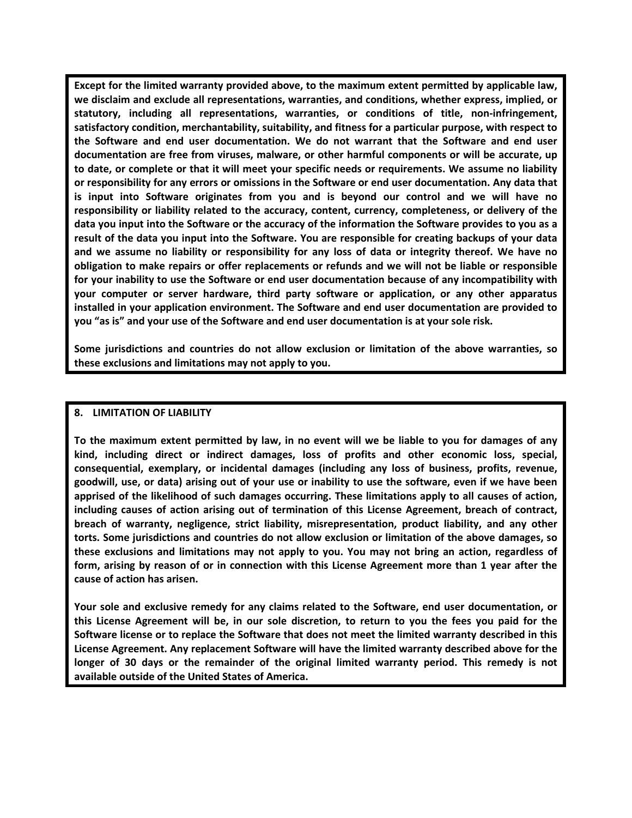**Except for the limited warranty provided above, to the maximum extent permitted by applicable law, we disclaim and exclude all representations, warranties, and conditions, whether express, implied, or statutory, including all representations, warranties, or conditions of title, non-infringement, satisfactory condition, merchantability, suitability, and fitness for a particular purpose, with respect to the Software and end user documentation. We do not warrant that the Software and end user documentation are free from viruses, malware, or other harmful components or will be accurate, up to date, or complete or that it will meet your specific needs or requirements. We assume no liability or responsibility for any errors or omissions in the Software or end user documentation. Any data that is input into Software originates from you and is beyond our control and we will have no responsibility or liability related to the accuracy, content, currency, completeness, or delivery of the data you input into the Software or the accuracy of the information the Software provides to you as a result of the data you input into the Software. You are responsible for creating backups of your data and we assume no liability or responsibility for any loss of data or integrity thereof. We have no obligation to make repairs or offer replacements or refunds and we will not be liable or responsible for your inability to use the Software or end user documentation because of any incompatibility with your computer or server hardware, third party software or application, or any other apparatus installed in your application environment. The Software and end user documentation are provided to you "as is" and your use of the Software and end user documentation is at your sole risk.** 

**Some jurisdictions and countries do not allow exclusion or limitation of the above warranties, so these exclusions and limitations may not apply to you.** 

#### **8. LIMITATION OF LIABILITY**

**To the maximum extent permitted by law, in no event will we be liable to you for damages of any kind, including direct or indirect damages, loss of profits and other economic loss, special, consequential, exemplary, or incidental damages (including any loss of business, profits, revenue, goodwill, use, or data) arising out of your use or inability to use the software, even if we have been apprised of the likelihood of such damages occurring. These limitations apply to all causes of action, including causes of action arising out of termination of this License Agreement, breach of contract, breach of warranty, negligence, strict liability, misrepresentation, product liability, and any other torts. Some jurisdictions and countries do not allow exclusion or limitation of the above damages, so these exclusions and limitations may not apply to you. You may not bring an action, regardless of form, arising by reason of or in connection with this License Agreement more than 1 year after the cause of action has arisen.** 

**Your sole and exclusive remedy for any claims related to the Software, end user documentation, or this License Agreement will be, in our sole discretion, to return to you the fees you paid for the Software license or to replace the Software that does not meet the limited warranty described in this License Agreement. Any replacement Software will have the limited warranty described above for the longer of 30 days or the remainder of the original limited warranty period. This remedy is not available outside of the United States of America.**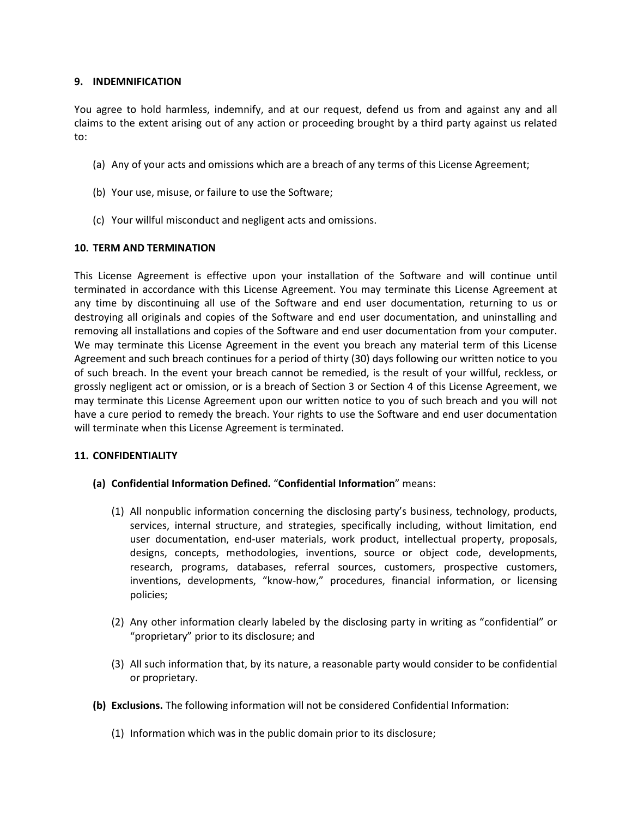# **9. INDEMNIFICATION**

You agree to hold harmless, indemnify, and at our request, defend us from and against any and all claims to the extent arising out of any action or proceeding brought by a third party against us related to:

- (a) Any of your acts and omissions which are a breach of any terms of this License Agreement;
- (b) Your use, misuse, or failure to use the Software;
- (c) Your willful misconduct and negligent acts and omissions.

# **10. TERM AND TERMINATION**

This License Agreement is effective upon your installation of the Software and will continue until terminated in accordance with this License Agreement. You may terminate this License Agreement at any time by discontinuing all use of the Software and end user documentation, returning to us or destroying all originals and copies of the Software and end user documentation, and uninstalling and removing all installations and copies of the Software and end user documentation from your computer. We may terminate this License Agreement in the event you breach any material term of this License Agreement and such breach continues for a period of thirty (30) days following our written notice to you of such breach. In the event your breach cannot be remedied, is the result of your willful, reckless, or grossly negligent act or omission, or is a breach of Section 3 or Section 4 of this License Agreement, we may terminate this License Agreement upon our written notice to you of such breach and you will not have a cure period to remedy the breach. Your rights to use the Software and end user documentation will terminate when this License Agreement is terminated.

# **11. CONFIDENTIALITY**

- **(a) Confidential Information Defined.** "**Confidential Information**" means:
	- (1) All nonpublic information concerning the disclosing party's business, technology, products, services, internal structure, and strategies, specifically including, without limitation, end user documentation, end-user materials, work product, intellectual property, proposals, designs, concepts, methodologies, inventions, source or object code, developments, research, programs, databases, referral sources, customers, prospective customers, inventions, developments, "know-how," procedures, financial information, or licensing policies;
	- (2) Any other information clearly labeled by the disclosing party in writing as "confidential" or "proprietary" prior to its disclosure; and
	- (3) All such information that, by its nature, a reasonable party would consider to be confidential or proprietary.
- **(b) Exclusions.** The following information will not be considered Confidential Information:
	- (1) Information which was in the public domain prior to its disclosure;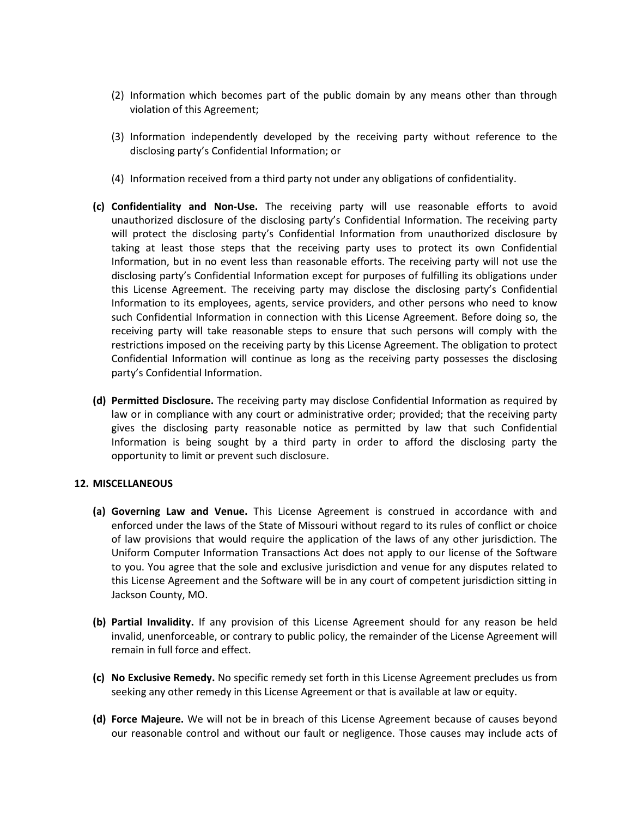- (2) Information which becomes part of the public domain by any means other than through violation of this Agreement;
- (3) Information independently developed by the receiving party without reference to the disclosing party's Confidential Information; or
- (4) Information received from a third party not under any obligations of confidentiality.
- **(c) Confidentiality and Non-Use.** The receiving party will use reasonable efforts to avoid unauthorized disclosure of the disclosing party's Confidential Information. The receiving party will protect the disclosing party's Confidential Information from unauthorized disclosure by taking at least those steps that the receiving party uses to protect its own Confidential Information, but in no event less than reasonable efforts. The receiving party will not use the disclosing party's Confidential Information except for purposes of fulfilling its obligations under this License Agreement. The receiving party may disclose the disclosing party's Confidential Information to its employees, agents, service providers, and other persons who need to know such Confidential Information in connection with this License Agreement. Before doing so, the receiving party will take reasonable steps to ensure that such persons will comply with the restrictions imposed on the receiving party by this License Agreement. The obligation to protect Confidential Information will continue as long as the receiving party possesses the disclosing party's Confidential Information.
- **(d) Permitted Disclosure.** The receiving party may disclose Confidential Information as required by law or in compliance with any court or administrative order; provided; that the receiving party gives the disclosing party reasonable notice as permitted by law that such Confidential Information is being sought by a third party in order to afford the disclosing party the opportunity to limit or prevent such disclosure.

#### **12. MISCELLANEOUS**

- **(a) Governing Law and Venue.** This License Agreement is construed in accordance with and enforced under the laws of the State of Missouri without regard to its rules of conflict or choice of law provisions that would require the application of the laws of any other jurisdiction. The Uniform Computer Information Transactions Act does not apply to our license of the Software to you. You agree that the sole and exclusive jurisdiction and venue for any disputes related to this License Agreement and the Software will be in any court of competent jurisdiction sitting in Jackson County, MO.
- **(b) Partial Invalidity.** If any provision of this License Agreement should for any reason be held invalid, unenforceable, or contrary to public policy, the remainder of the License Agreement will remain in full force and effect.
- **(c) No Exclusive Remedy.** No specific remedy set forth in this License Agreement precludes us from seeking any other remedy in this License Agreement or that is available at law or equity.
- **(d) Force Majeure.** We will not be in breach of this License Agreement because of causes beyond our reasonable control and without our fault or negligence. Those causes may include acts of